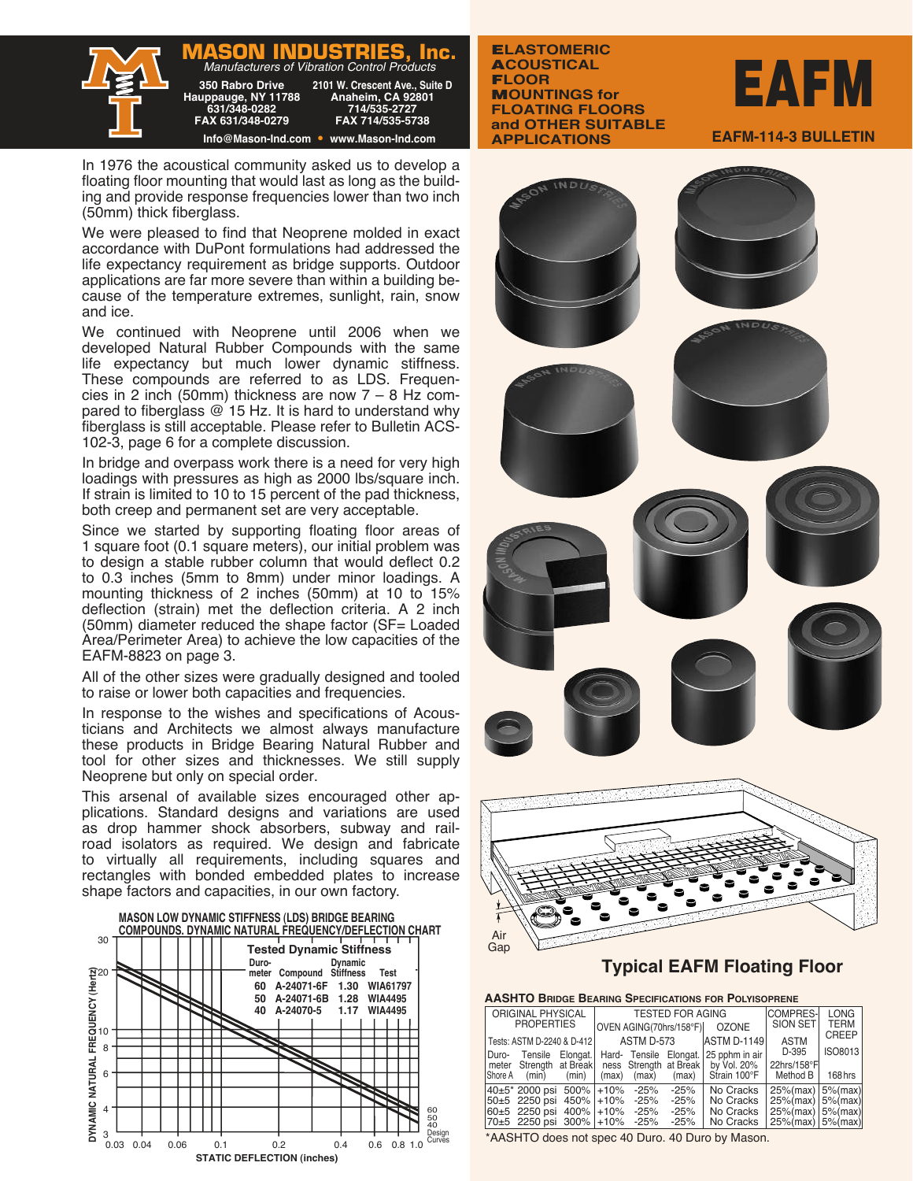

In 1976 the acoustical community asked us to develop a floating floor mounting that would last as long as the building and provide response frequencies lower than two inch (50mm) thick fiberglass.

We were pleased to find that Neoprene molded in exact accordance with DuPont formulations had addressed the life expectancy requirement as bridge supports. Outdoor applications are far more severe than within a building because of the temperature extremes, sunlight, rain, snow and ice.

We continued with Neoprene until 2006 when we developed Natural Rubber Compounds with the same life expectancy but much lower dynamic stiffness. These compounds are referred to as LDS. Frequencies in 2 inch (50mm) thickness are now  $7 - 8$  Hz compared to fiberglass  $@$  15 Hz. It is hard to understand why fiberglass is still acceptable. Please refer to Bulletin ACS-102-3, page 6 for a complete discussion.

In bridge and overpass work there is a need for very high loadings with pressures as high as 2000 lbs/square inch. If strain is limited to 10 to 15 percent of the pad thickness, both creep and permanent set are very acceptable.

Since we started by supporting floating floor areas of 1 square foot (0.1 square meters), our initial problem was to design a stable rubber column that would deflect 0.2 to 0.3 inches (5mm to 8mm) under minor loadings. A mounting thickness of 2 inches (50mm) at 10 to 15% deflection (strain) met the deflection criteria. A 2 inch (50mm) diameter reduced the shape factor (SF= Loaded Area/Perimeter Area) to achieve the low capacities of the EAFM-8823 on page 3.

All of the other sizes were gradually designed and tooled to raise or lower both capacities and frequencies.

In response to the wishes and specifications of Acousticians and Architects we almost always manufacture these products in Bridge Bearing Natural Rubber and tool for other sizes and thicknesses. We still supply Neoprene but only on special order.

This arsenal of available sizes encouraged other applications. Standard designs and variations are used as drop hammer shock absorbers, subway and railroad isolators as required. We design and fabricate to virtually all requirements, including squares and rectangles with bonded embedded plates to increase shape factors and capacities, in our own factory.



E**LASTOMERIC** A**COUSTICAL** F**LOOR** M**OUNTINGS for FLOATING FLOORS and OTHER SUITABLE APPLICATIONS**







#### **Typical EAFM Floating Floor**

**AASHTO Bridge BeAring SpecificATiOnS fOr pOlyiSOprene**

| 40 A-24070-5 1.17 WIA4495 |          | ORIGINAL PHYSICAL                                                 |                  |       | <b>TESTED FOR AGING</b> | <b>COMPRES-</b>         | <b>LONG</b>                                                                                   |                                                |              |  |  |  |
|---------------------------|----------|-------------------------------------------------------------------|------------------|-------|-------------------------|-------------------------|-----------------------------------------------------------------------------------------------|------------------------------------------------|--------------|--|--|--|
|                           |          | <b>PROPERTIES</b>                                                 |                  |       |                         | OVEN AGING(70hrs/158°F) | OZONE                                                                                         | SION SET                                       | <b>TERM</b>  |  |  |  |
|                           |          | Tests: ASTM D-2240 & D-412                                        |                  |       | ASTM D-573              |                         | <b>ASTM D-1149</b>                                                                            | <b>ASTM</b>                                    | <b>CREEP</b> |  |  |  |
|                           |          | Duro-<br>meter                                                    | Tensile Elongat. |       |                         |                         | Hard- Tensile Elongat. 25 pphm in air<br>Strength at Break ness Strength at Break by Vol. 20% | D-395<br>22hrs/158°F                           | ISO8013      |  |  |  |
|                           |          | Shore A<br>(min)                                                  | (min)            | (max) | (max)                   | (max)                   | Strain 100°F                                                                                  | Method B                                       | 168hrs       |  |  |  |
|                           |          | 40±5* 2000 psi 500% +10% -25%<br>50±5 2250 psi 450% +10% -25%     |                  |       |                         | -25%<br>-25%            | No Cracks<br>l No Cracks I                                                                    | 25%(max) 5%(max)<br>  25%(max)   5%(max)       |              |  |  |  |
|                           | 60<br>50 | 60±5 2250 psi 400% +10% -25%<br>70±5 2250 psi 300% +10% -25% -25% |                  |       |                         | -25%                    | No Cracks 1<br>No Cracks 1                                                                    | 25%(max) 5%(max)<br>$ 25\%$ (max) $ 5\%$ (max) |              |  |  |  |

\*AASHTO does not spec 40 Duro. 40 Duro by Mason.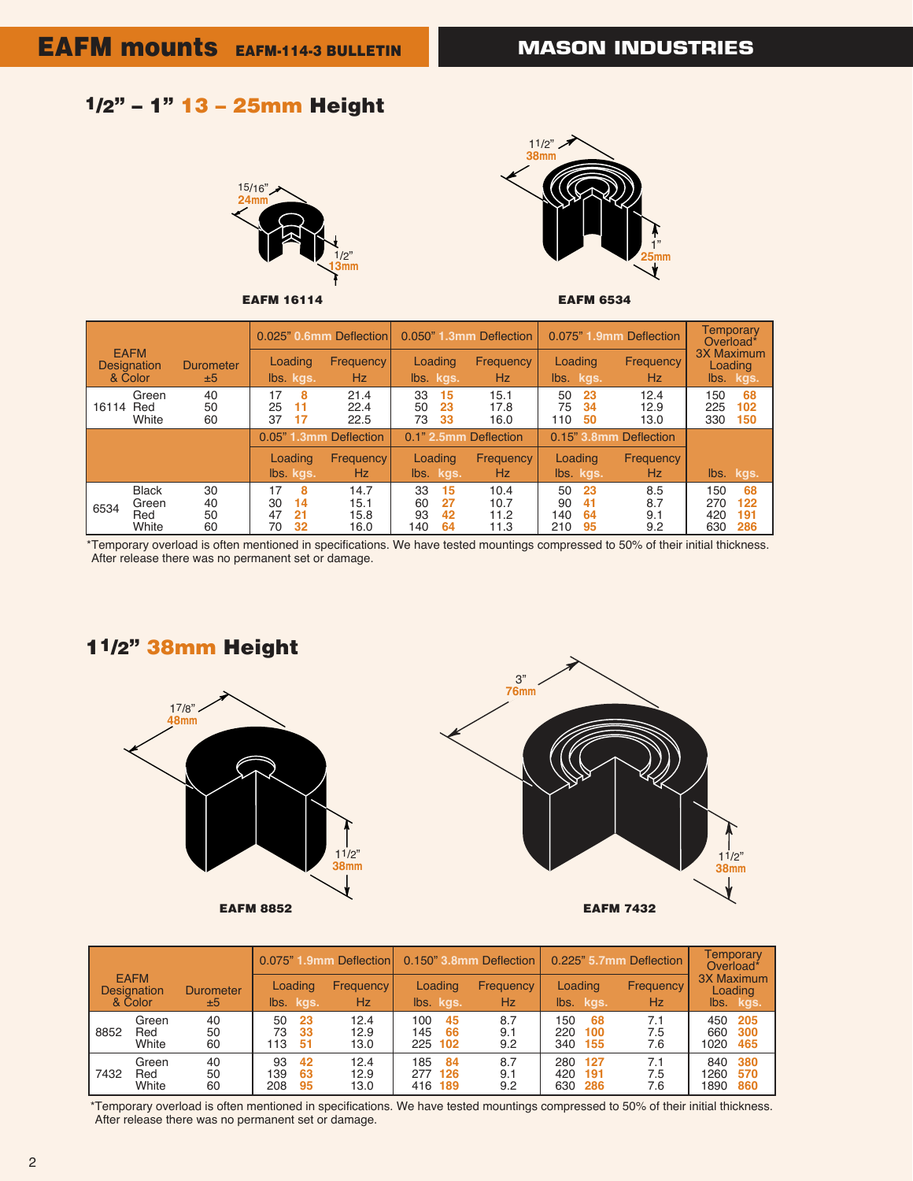## 1/2" – 1" 13 – 25mm Height



**EAFM 16114 EAFM 6534** 



|       |                                              |                        |                                             | 0.025" 0.6mm Deflection      | 0.050" 1.3mm Deflection                       |                              | 0.075" 1.9mm Deflection                        | <b>Temporary</b><br>Overload* |                                                     |
|-------|----------------------------------------------|------------------------|---------------------------------------------|------------------------------|-----------------------------------------------|------------------------------|------------------------------------------------|-------------------------------|-----------------------------------------------------|
|       | <b>EAFM</b><br><b>Designation</b><br>& Color | <b>Durometer</b><br>±5 | Loading<br>lbs. kgs.                        | Frequency<br>Hz              | Loading<br>lbs. kgs.                          | Frequency<br>Hz.             | Loading<br>lbs. kgs.                           | Frequency<br>Hz               | <b>3X Maximum</b><br>Loading<br>lbs. kgs.           |
| 16114 | Green<br>Red<br>White                        | 40<br>50<br>60         | 17<br>8<br>25<br>11<br>17<br>37             | 21.4<br>22.4<br>22.5         | 33<br>15<br>23<br>50<br>73<br>-33             | 15.1<br>17.8<br>16.0         | 23<br>50<br>75<br>34<br>110<br>50              | 12.4<br>12.9<br>13.0          | 68<br>150<br>102<br>225<br>150<br>330               |
|       |                                              |                        | 0.05" 1.3mm Deflection                      |                              | 0.1" 2.5mm Deflection                         |                              | 0.15" 3.8mm Deflection                         |                               |                                                     |
|       |                                              |                        | Loading<br>lbs. kgs.                        | Frequency<br>Hz.             | Loading<br>lbs. kgs.                          | <b>Frequency</b><br>Hz.      | Loading<br>lbs. kgs.                           | Frequency<br>Hz               | lbs. kgs.                                           |
| 6534  | <b>Black</b><br>Green<br>Red<br>White        | 30<br>40<br>50<br>60   | 17<br>8<br>30<br>14<br>47<br>21<br>32<br>70 | 14.7<br>15.1<br>15.8<br>16.0 | 33<br>15<br>27<br>60<br>42<br>93<br>140<br>64 | 10.4<br>10.7<br>11.2<br>11.3 | 23<br>50<br>90<br>41<br>140<br>64<br>95<br>210 | 8.5<br>8.7<br>9.1<br>9.2      | 68<br>150<br>122<br>270<br>191<br>420<br>286<br>630 |

\* Temporary overload is often mentioned in specifications. We have tested mountings compressed to 50% of their initial thickness. After release there was no permanent set or damage.

### 11/2" 38mm Height





|      |                                              |                        | 0.075" 1.9mm Deflection |                      |                        |                                   | 0.150" 3.8mm Deflection       | 0.225" 5.7mm Deflection                | Temporary<br>Overload* |                                           |
|------|----------------------------------------------|------------------------|-------------------------|----------------------|------------------------|-----------------------------------|-------------------------------|----------------------------------------|------------------------|-------------------------------------------|
|      | <b>EAFM</b><br><b>Designation</b><br>& Color | <b>Durometer</b><br>±5 |                         | Loading<br>lbs. kgs. | <b>Frequency</b><br>Hz | Loading<br>lbs. kgs.              | <b>Frequency</b><br><b>Hz</b> | Loading<br>lbs. kgs.                   | Frequency<br>Hz        | <b>3X Maximum</b><br>Loading<br>lbs. kgs. |
| 8852 | Green<br>Red<br>White                        | 40<br>50<br>60         | 50<br>73<br>113         | 23<br>33<br>51       | 12.4<br>12.9<br>13.0   | 100<br>45<br>66<br>145<br>225 102 | 8.7<br>9.1<br>9.2             | 150<br>68<br>220<br>100<br>340<br>155  | 7.1<br>7.5<br>7.6      | 205<br>450<br>660<br>300<br>465<br>1020   |
| 7432 | Green<br>Red<br>White                        | 40<br>50<br>60         | 93<br>139<br>208        | 42<br>63<br>95       | 12.4<br>12.9<br>13.0   | 185<br>84<br>277 126<br>416 189   | 8.7<br>9.1<br>9.2             | 280<br>127<br>420<br>191<br>630<br>286 | 7.1<br>7.5<br>7.6      | 380<br>840<br>570<br>1260<br>1890<br>860  |

\* Temporary overload is often mentioned in specifications. We have tested mountings compressed to 50% of their initial thickness. After release there was no permanent set or damage.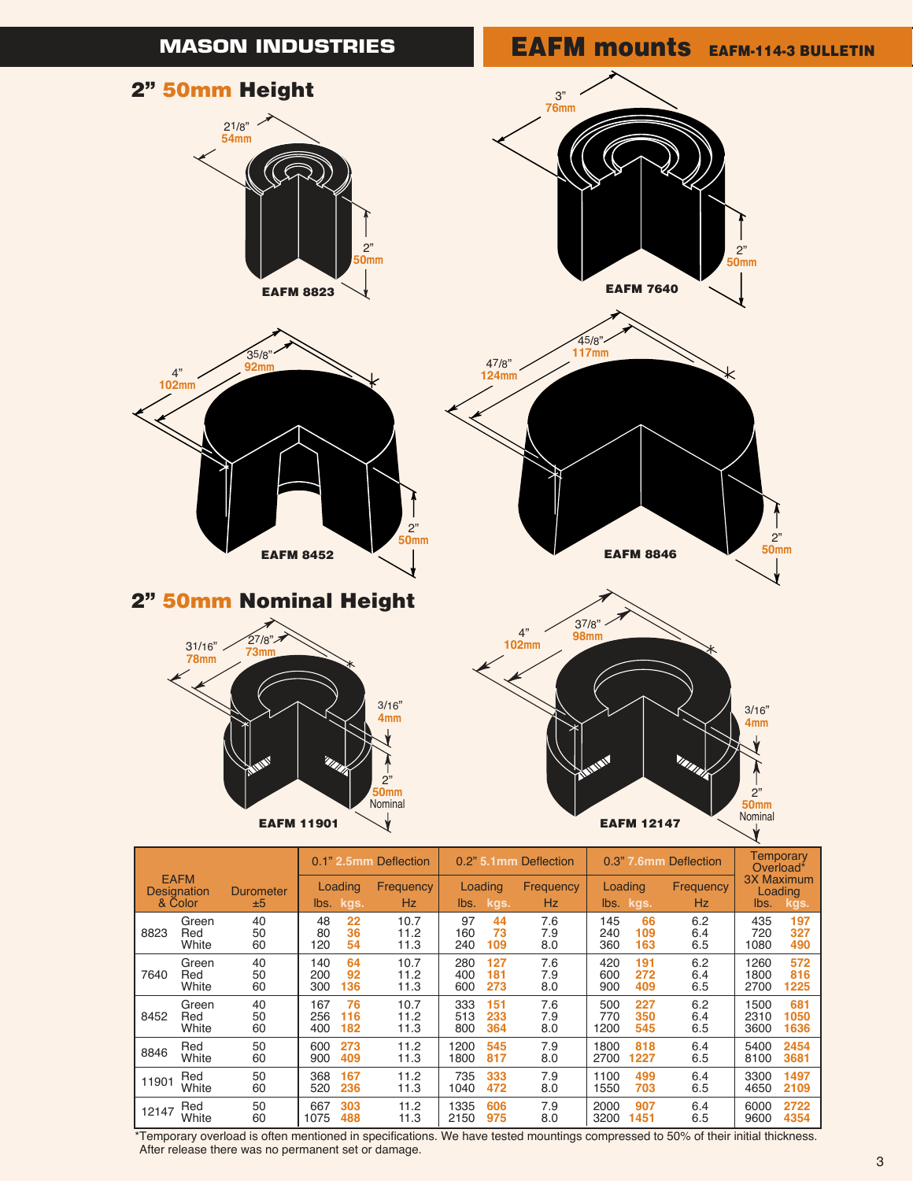

|       | <b>EAFM</b><br><b>Designation</b><br>& Color | Durometer<br>±5 |      | Loading<br>lbs. kgs. | Frequency<br>Hz. | $\mathsf{I}\mathsf{bs}$ . | <b>Loading</b><br>kgs. | Frequency<br><b>Hz</b> | Loading | lbs. kgs. | <b>Frequency</b><br>Hz. | lbs. | <b>3X Maximum</b><br><b>Loading</b><br>kgs. |
|-------|----------------------------------------------|-----------------|------|----------------------|------------------|---------------------------|------------------------|------------------------|---------|-----------|-------------------------|------|---------------------------------------------|
| 8823  | Green                                        | 40              | 48   | 22                   | 10.7             | 97                        | 44                     | 7.6                    | 145     | 66        | 6.2                     | 435  | 197                                         |
|       | Red                                          | 50              | 80   | 36                   | 11.2             | 160                       | 73                     | 7.9                    | 240     | 109       | 6.4                     | 720  | 327                                         |
|       | White                                        | 60              | 120  | 54                   | 11.3             | 240                       | 109                    | 8.0                    | 360     | 163       | 6.5                     | 1080 | 490                                         |
| 7640  | Green                                        | 40              | 140  | 64                   | 10.7             | 280                       | 127                    | 7.6                    | 420     | 191       | 6.2                     | 1260 | 572                                         |
|       | Red                                          | 50              | 200  | 92                   | 11.2             | 400                       | 181                    | 7.9                    | 600     | 272       | 6.4                     | 1800 | 816                                         |
|       | White                                        | 60              | 300  | 136                  | 11.3             | 600                       | 273                    | 8.0                    | 900     | 409       | 6.5                     | 2700 | 1225                                        |
| 8452  | Green                                        | 40              | 167  | 76                   | 10.7             | 333                       | 151                    | 7.6                    | 500     | 227       | 6.2                     | 1500 | 681                                         |
|       | Red                                          | 50              | 256  | 116                  | 11.2             | 513                       | 233                    | 7.9                    | 770     | 350       | 6.4                     | 2310 | 1050                                        |
|       | White                                        | 60              | 400  | 182                  | 11.3             | 800                       | 364                    | 8.0                    | 1200    | 545       | 6.5                     | 3600 | 1636                                        |
| 8846  | Red                                          | 50              | 600  | 273                  | 11.2             | 1200                      | 545                    | 7.9                    | 1800    | 818       | 6.4                     | 5400 | 2454                                        |
|       | White                                        | 60              | 900  | 409                  | 11.3             | 1800                      | 817                    | 8.0                    | 2700    | 1227      | 6.5                     | 8100 | 3681                                        |
| 11901 | Red                                          | 50              | 368  | 167                  | 11.2             | 735                       | 333                    | 7.9                    | 1100    | 499       | 6.4                     | 3300 | 1497                                        |
|       | White                                        | 60              | 520  | 236                  | 11.3             | 1040                      | 472                    | 8.0                    | 1550    | 703       | 6.5                     | 4650 | 2109                                        |
| 12147 | Red                                          | 50              | 667  | 303                  | 11.2             | 1335                      | 606                    | 7.9                    | 2000    | 907       | 6.4                     | 6000 | 2722                                        |
|       | White                                        | 60              | 1075 | 488                  | 11.3             | 2150                      | 975                    | 8.0                    | 3200    | 1451      | 6.5                     | 9600 | 4354                                        |

\* Temporary overload is often mentioned in specifications. We have tested mountings compressed to 50% of their initial thickness. After release there was no permanent set or damage.